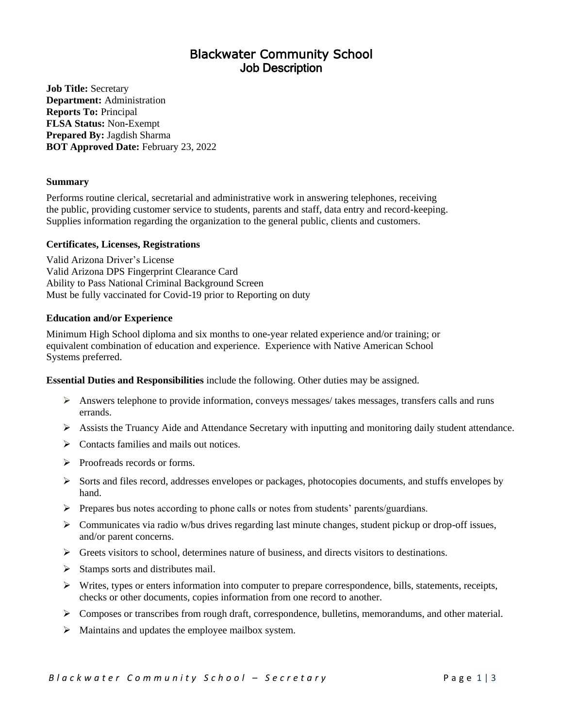# Blackwater Community School Job Description

**Job Title:** Secretary **Department:** Administration **Reports To:** Principal **FLSA Status:** Non**-**Exempt **Prepared By:** Jagdish Sharma **BOT Approved Date:** February 23, 2022

# **Summary**

Performs routine clerical, secretarial and administrative work in answering telephones, receiving the public, providing customer service to students, parents and staff, data entry and record-keeping. Supplies information regarding the organization to the general public, clients and customers.

# **Certificates, Licenses, Registrations**

Valid Arizona Driver's License Valid Arizona DPS Fingerprint Clearance Card Ability to Pass National Criminal Background Screen Must be fully vaccinated for Covid-19 prior to Reporting on duty

# **Education and/or Experience**

Minimum High School diploma and six months to one-year related experience and/or training; or equivalent combination of education and experience. Experience with Native American School Systems preferred.

**Essential Duties and Responsibilities** include the following. Other duties may be assigned.

- $\triangleright$  Answers telephone to provide information, conveys messages/ takes messages, transfers calls and runs errands.
- ➢ Assists the Truancy Aide and Attendance Secretary with inputting and monitoring daily student attendance.
- $\triangleright$  Contacts families and mails out notices.
- ➢ Proofreads records or forms.
- ➢ Sorts and files record, addresses envelopes or packages, photocopies documents, and stuffs envelopes by hand.
- $\triangleright$  Prepares bus notes according to phone calls or notes from students' parents/guardians.
- ➢ Communicates via radio w/bus drives regarding last minute changes, student pickup or drop-off issues, and/or parent concerns.
- $\triangleright$  Greets visitors to school, determines nature of business, and directs visitors to destinations.
- ➢ Stamps sorts and distributes mail.
- ➢ Writes, types or enters information into computer to prepare correspondence, bills, statements, receipts, checks or other documents, copies information from one record to another.
- $\triangleright$  Composes or transcribes from rough draft, correspondence, bulletins, memorandums, and other material.
- $\triangleright$  Maintains and updates the employee mailbox system.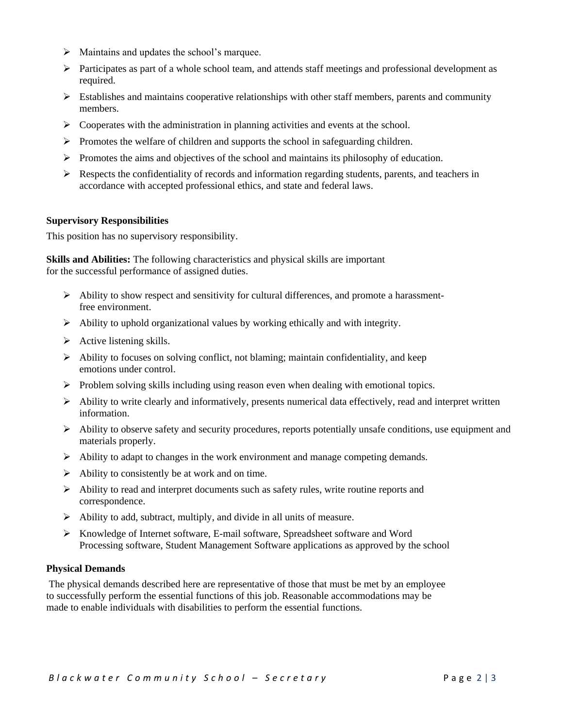- $\triangleright$  Maintains and updates the school's marquee.
- ➢ Participates as part of a whole school team, and attends staff meetings and professional development as required.
- $\triangleright$  Establishes and maintains cooperative relationships with other staff members, parents and community members.
- $\triangleright$  Cooperates with the administration in planning activities and events at the school.
- ➢ Promotes the welfare of children and supports the school in safeguarding children.
- $\triangleright$  Promotes the aims and objectives of the school and maintains its philosophy of education.
- $\triangleright$  Respects the confidentiality of records and information regarding students, parents, and teachers in accordance with accepted professional ethics, and state and federal laws.

### **Supervisory Responsibilities**

This position has no supervisory responsibility.

**Skills and Abilities:** The following characteristics and physical skills are important for the successful performance of assigned duties.

- $\triangleright$  Ability to show respect and sensitivity for cultural differences, and promote a harassmentfree environment.
- ➢ Ability to uphold organizational values by working ethically and with integrity.
- $\triangleright$  Active listening skills.
- $\triangleright$  Ability to focuses on solving conflict, not blaming; maintain confidentiality, and keep emotions under control.
- $\triangleright$  Problem solving skills including using reason even when dealing with emotional topics.
- $\triangleright$  Ability to write clearly and informatively, presents numerical data effectively, read and interpret written information.
- ➢ Ability to observe safety and security procedures, reports potentially unsafe conditions, use equipment and materials properly.
- $\triangleright$  Ability to adapt to changes in the work environment and manage competing demands.
- $\triangleright$  Ability to consistently be at work and on time.
- ➢ Ability to read and interpret documents such as safety rules, write routine reports and correspondence.
- $\triangleright$  Ability to add, subtract, multiply, and divide in all units of measure.
- ➢ Knowledge of Internet software, E-mail software, Spreadsheet software and Word Processing software, Student Management Software applications as approved by the school

### **Physical Demands**

The physical demands described here are representative of those that must be met by an employee to successfully perform the essential functions of this job. Reasonable accommodations may be made to enable individuals with disabilities to perform the essential functions.